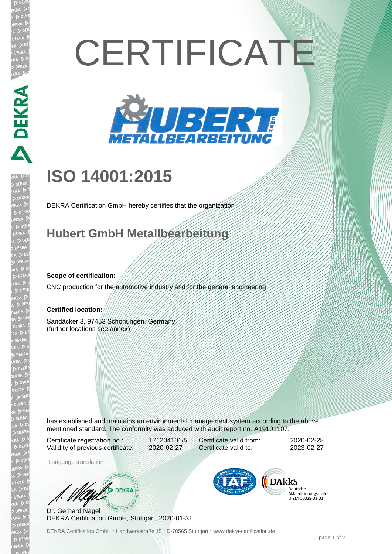# **CERTIFICATE**



## **ISO 14001:2015**

DEKRA Certification GmbH hereby certifies that the organization

### **Hubert GmbH Metallbearbeitung**

#### **Scope of certification:**

**DEKRA RE** 

CNC production for the automotive industry and for the general engineering

#### **Certified location:**

Sandäcker 3, 97453 Schonungen, Germany (further locations see annex)

has established and maintains an environmental management system according to the above mentioned standard. The conformity was adduced with audit report no. A19101107.

Certificate registration no.: 171204101/5 Validity of previous certificate: 2020-02-27

Certificate valid from: 2020-02-28 Certificate valid to: 2023-02-27

Language translation

**DEKRA** 

Dr. Gerhard Nagel DEKRA Certification GmbH, Stuttgart, 2020-01-31



Deutsche Deutsche<br>Akkreditierungsstelle D-ZM-16029-01-01

DEKRA Certification GmbH \* Handwerkstraße 15 \* D-70565 Stuttgart \* www.dekra-certification.de